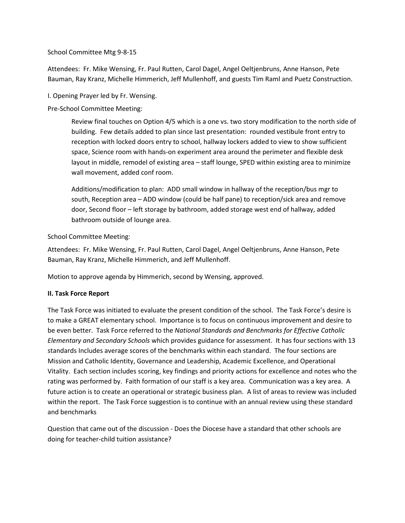## School Committee Mtg 9-8-15

Attendees: Fr. Mike Wensing, Fr. Paul Rutten, Carol Dagel, Angel Oeltjenbruns, Anne Hanson, Pete Bauman, Ray Kranz, Michelle Himmerich, Jeff Mullenhoff, and guests Tim Raml and Puetz Construction.

I. Opening Prayer led by Fr. Wensing.

Pre-School Committee Meeting:

Review final touches on Option 4/5 which is a one vs. two story modification to the north side of building. Few details added to plan since last presentation: rounded vestibule front entry to reception with locked doors entry to school, hallway lockers added to view to show sufficient space, Science room with hands-on experiment area around the perimeter and flexible desk layout in middle, remodel of existing area – staff lounge, SPED within existing area to minimize wall movement, added conf room.

Additions/modification to plan: ADD small window in hallway of the reception/bus mgr to south, Reception area – ADD window (could be half pane) to reception/sick area and remove door, Second floor – left storage by bathroom, added storage west end of hallway, added bathroom outside of lounge area.

School Committee Meeting:

Attendees: Fr. Mike Wensing, Fr. Paul Rutten, Carol Dagel, Angel Oeltjenbruns, Anne Hanson, Pete Bauman, Ray Kranz, Michelle Himmerich, and Jeff Mullenhoff.

Motion to approve agenda by Himmerich, second by Wensing, approved.

## **II. Task Force Report**

The Task Force was initiated to evaluate the present condition of the school. The Task Force's desire is to make a GREAT elementary school. Importance is to focus on continuous improvement and desire to be even better. Task Force referred to the *National Standards and Benchmarks for Effective Catholic Elementary and Secondary Schools* which provides guidance for assessment. It has four sections with 13 standards Includes average scores of the benchmarks within each standard. The four sections are Mission and Catholic Identity, Governance and Leadership, Academic Excellence, and Operational Vitality. Each section includes scoring, key findings and priority actions for excellence and notes who the rating was performed by. Faith formation of our staff is a key area. Communication was a key area. A future action is to create an operational or strategic business plan. A list of areas to review was included within the report. The Task Force suggestion is to continue with an annual review using these standard and benchmarks

Question that came out of the discussion - Does the Diocese have a standard that other schools are doing for teacher-child tuition assistance?